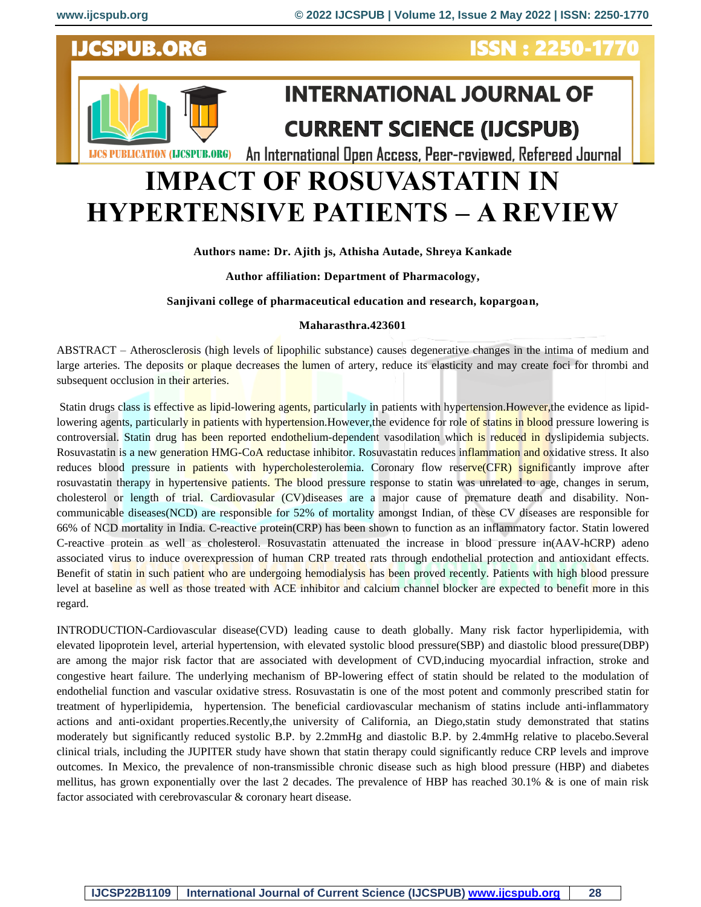

# **IMPACT OF ROSUVASTATIN IN HYPERTENSIVE PATIENTS – A REVIEW**

## **Authors name: Dr. Ajith js, Athisha Autade, Shreya Kankade**

**Author affiliation: Department of Pharmacology,**

**Sanjivani college of pharmaceutical education and research, kopargoan,**

#### **Maharasthra.423601**

ABSTRACT – Atherosclerosis (high levels of lipophilic substance) causes degenerative changes in the intima of medium and large arteries. The deposits or plaque decreases the lumen of artery, reduce its elasticity and may create foci for thrombi and subsequent occlusion in their arteries.

Statin drugs class is effective as lipid-lowering agents, particularly in patients with hypertension. However, the evidence as lipidlowering agents, particularly in patients with hypertension. However, the evidence for role of statins in blood pressure lowering is controversial. Statin drug has been reported endothelium-dependent vasodilation which is reduced in dyslipidemia subjects. Rosuvastatin is a new generation HMG-CoA reductase inhibitor. Rosuvastatin reduces inflammation and oxidative stress. It also reduces blood pressure in **patients** with hypercholesterolemia. Coronary flow reserve(CFR) significantly improve after rosuvastatin therapy in hypertensive patients. The blood pressure response to statin was unrelated to age, changes in serum, cholesterol or length of trial. Cardiovasular (CV)diseases are a major cause of premature death and disability. Noncommunicable diseases(NCD) are responsible for 52% of mortality amongst Indian, of these CV diseases are responsible for 66% of NCD mortality in India. C-reactive protein(CRP) has been shown to function as an inflammatory factor. Statin lowered C-reactive protein as well as cholesterol. Rosuvastatin attenuated the increase in blood pressure in(AAV-hCRP) adeno associated virus to induce overexpression of human CRP treated rats through endothelial protection and antioxidant effects. Benefit of statin in such patient who are undergoing hemodialysis has been proved recently. Patients with high blood pressure level at baseline as well as those treated with ACE inhibitor and calcium channel blocker are expected to benefit more in this regard.

INTRODUCTION-Cardiovascular disease(CVD) leading cause to death globally. Many risk factor hyperlipidemia, with elevated lipoprotein level, arterial hypertension, with elevated systolic blood pressure(SBP) and diastolic blood pressure(DBP) are among the major risk factor that are associated with development of CVD,inducing myocardial infraction, stroke and congestive heart failure. The underlying mechanism of BP-lowering effect of statin should be related to the modulation of endothelial function and vascular oxidative stress. Rosuvastatin is one of the most potent and commonly prescribed statin for treatment of hyperlipidemia, hypertension. The beneficial cardiovascular mechanism of statins include anti-inflammatory actions and anti-oxidant properties.Recently,the university of California, an Diego,statin study demonstrated that statins moderately but significantly reduced systolic B.P. by 2.2mmHg and diastolic B.P. by 2.4mmHg relative to placebo.Several clinical trials, including the JUPITER study have shown that statin therapy could significantly reduce CRP levels and improve outcomes. In Mexico, the prevalence of non-transmissible chronic disease such as high blood pressure (HBP) and diabetes mellitus, has grown exponentially over the last 2 decades. The prevalence of HBP has reached 30.1% & is one of main risk factor associated with cerebrovascular & coronary heart disease.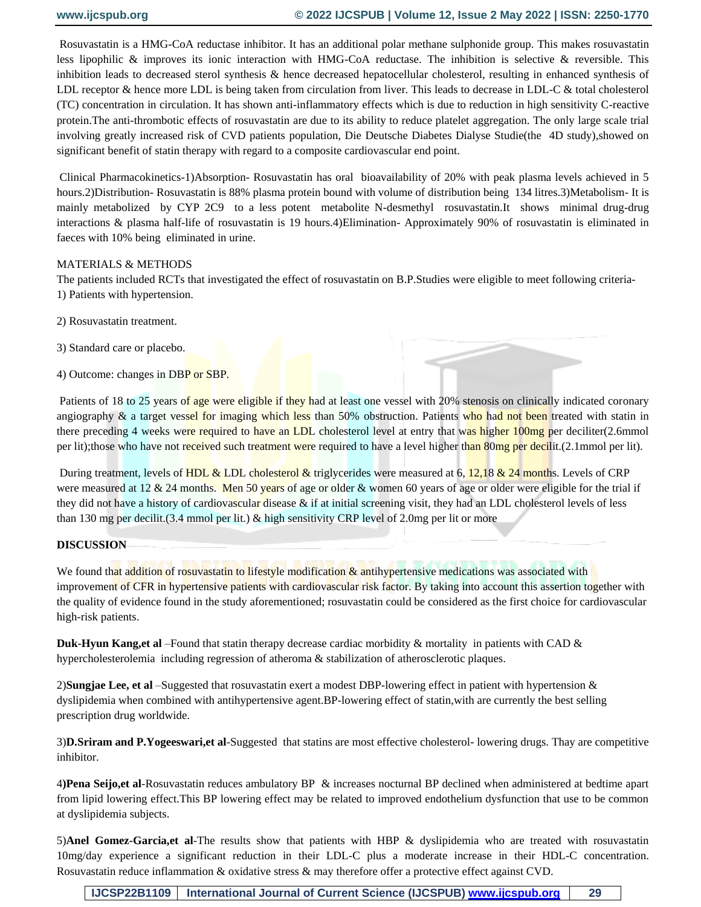Rosuvastatin is a HMG-CoA reductase inhibitor. It has an additional polar methane sulphonide group. This makes rosuvastatin less lipophilic & improves its ionic interaction with HMG-CoA reductase. The inhibition is selective & reversible. This inhibition leads to decreased sterol synthesis & hence decreased hepatocellular cholesterol, resulting in enhanced synthesis of LDL receptor & hence more LDL is being taken from circulation from liver. This leads to decrease in LDL-C & total cholesterol (TC) concentration in circulation. It has shown anti-inflammatory effects which is due to reduction in high sensitivity C-reactive protein.The anti-thrombotic effects of rosuvastatin are due to its ability to reduce platelet aggregation. The only large scale trial involving greatly increased risk of CVD patients population, Die Deutsche Diabetes Dialyse Studie(the 4D study),showed on significant benefit of statin therapy with regard to a composite cardiovascular end point.

Clinical Pharmacokinetics-1)Absorption- Rosuvastatin has oral bioavailability of 20% with peak plasma levels achieved in 5 hours.2)Distribution- Rosuvastatin is 88% plasma protein bound with volume of distribution being 134 litres.3)Metabolism- It is mainly metabolized by CYP 2C9 to a less potent metabolite N-desmethyl rosuvastatin.It shows minimal drug-drug interactions & plasma half-life of rosuvastatin is 19 hours.4)Elimination- Approximately 90% of rosuvastatin is eliminated in faeces with 10% being eliminated in urine.

### MATERIALS & METHODS

The patients included RCTs that investigated the effect of rosuvastatin on B.P.Studies were eligible to meet following criteria-1) Patients with hypertension.

- 2) Rosuvastatin treatment.
- 3) Standard care or placebo.
- 4) Outcome: changes in DBP or SBP.

Patients of 18 to 25 years of age were eligible if they had at least one vessel with 20% stenosis on clinically indicated coronary angiography & a target vessel for imaging which less than 50% obstruction. Patients who had not been treated with statin in there preceding 4 weeks were required to have an LDL cholesterol level at entry that was higher 100mg per deciliter(2.6mmol per lit);those who have not received such treatment were required to have a level higher than 80mg per decilit.(2.1mmol per lit).

During treatment, levels of HDL & LDL cholesterol & triglycerides were measured at  $6, 12, 18$  & 24 months. Levels of CRP were measured at 12  $\&$  24 months. Men 50 years of age or older  $\&$  women 60 years of age or older were eligible for the trial if they did not have a history of cardiovascular disease & if at initial screening visit, they had an LDL cholesterol levels of less than 130 mg per decilit.(3.4 mmol per lit.) & high sensitivity CRP level of 2.0mg per lit or more

### **DISCUSSION**

We found that addition of rosuvastatin to lifestyle modification  $\&$  antihypertensive medications was associated with improvement of CFR in hypertensive patients with cardiovascular risk factor. By taking into account this assertion together with the quality of evidence found in the study aforementioned; rosuvastatin could be considered as the first choice for cardiovascular high-risk patients.

**Duk-Hyun Kang,et al** –Found that statin therapy decrease cardiac morbidity & mortality in patients with CAD & hypercholesterolemia including regression of atheroma & stabilization of atherosclerotic plaques.

2)**Sungjae Lee, et al** –Suggested that rosuvastatin exert a modest DBP-lowering effect in patient with hypertension & dyslipidemia when combined with antihypertensive agent.BP-lowering effect of statin,with are currently the best selling prescription drug worldwide.

3)**D.Sriram and P.Yogeeswari,et al**-Suggested that statins are most effective cholesterol- lowering drugs. Thay are competitive inhibitor.

4**)Pena Seijo,et al**-Rosuvastatin reduces ambulatory BP & increases nocturnal BP declined when administered at bedtime apart from lipid lowering effect.This BP lowering effect may be related to improved endothelium dysfunction that use to be common at dyslipidemia subjects.

5)**Anel Gomez-Garcia,et al**-The results show that patients with HBP & dyslipidemia who are treated with rosuvastatin 10mg/day experience a significant reduction in their LDL-C plus a moderate increase in their HDL-C concentration. Rosuvastatin reduce inflammation & oxidative stress & may therefore offer a protective effect against CVD.

**IJCSP22B1109 International Journal of Current Science (IJCSPUB) [www.ijcspub.org](http://www.ijcrt.org/) 29**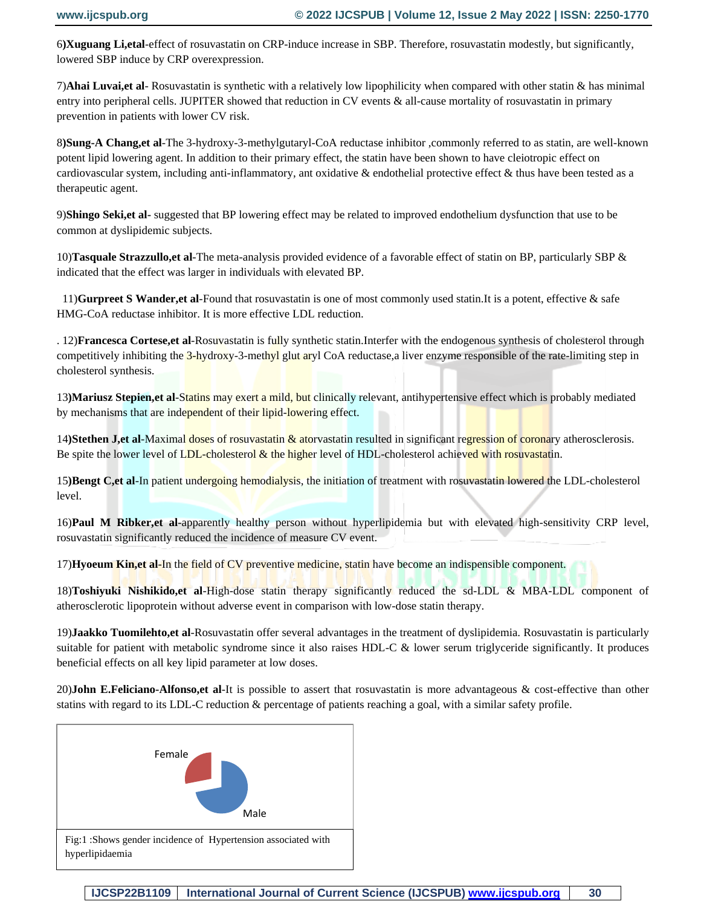6**)Xuguang Li,etal**-effect of rosuvastatin on CRP-induce increase in SBP. Therefore, rosuvastatin modestly, but significantly, lowered SBP induce by CRP overexpression.

7)**Ahai Luvai,et al**- Rosuvastatin is synthetic with a relatively low lipophilicity when compared with other statin & has minimal entry into peripheral cells. JUPITER showed that reduction in CV events & all-cause mortality of rosuvastatin in primary prevention in patients with lower CV risk.

8**)Sung-A Chang,et al**-The 3-hydroxy-3-methylgutaryl-CoA reductase inhibitor ,commonly referred to as statin, are well-known potent lipid lowering agent. In addition to their primary effect, the statin have been shown to have cleiotropic effect on cardiovascular system, including anti-inflammatory, ant oxidative & endothelial protective effect & thus have been tested as a therapeutic agent.

9)**Shingo Seki,et al-** suggested that BP lowering effect may be related to improved endothelium dysfunction that use to be common at dyslipidemic subjects.

10)**Tasquale Strazzullo,et al**-The meta-analysis provided evidence of a favorable effect of statin on BP, particularly SBP & indicated that the effect was larger in individuals with elevated BP.

 11)**Gurpreet S Wander,et al**-Found that rosuvastatin is one of most commonly used statin.It is a potent, effective & safe HMG-CoA reductase inhibitor. It is more effective LDL reduction.

. 12)**Francesca Cortese,et al**-Rosuvastatin is fully synthetic statin.Interfer with the endogenous synthesis of cholesterol through competitively inhibiting the 3-hydroxy-3-methyl glut aryl CoA reductase, a liver enzyme responsible of the rate-limiting step in cholesterol synthesis.

13**)Mariusz Stepien,et al**-Statins may exert a mild, but clinically relevant, antihypertensive effect which is probably mediated by mechanisms that are independent of their lipid-lowering effect.

14)Stethen J, et al-Maximal doses of rosuvastatin & atorvastatin resulted in significant regression of coronary atherosclerosis. Be spite the lower level of LDL-cholesterol  $\&$  the higher level of HDL-cholesterol achieved with rosuvastatin.

15**)Bengt C,et al**-In patient undergoing hemodialysis, the initiation of treatment with rosuvastatin lowered the LDL-cholesterol level.

16)**Paul M Ribker,et al**-apparently healthy person without hyperlipidemia but with elevated high-sensitivity CRP level, rosuvastatin significantly reduced the incidence of measure CV event.

17)**Hyoeum Kin,et al**-In the field of CV preventive medicine, statin have become an indispensible component.

18)**Toshiyuki Nishikido,et al**-High-dose statin therapy significantly reduced the sd-LDL & MBA-LDL component of atherosclerotic lipoprotein without adverse event in comparison with low-dose statin therapy.

19)**Jaakko Tuomilehto,et al**-Rosuvastatin offer several advantages in the treatment of dyslipidemia. Rosuvastatin is particularly suitable for patient with metabolic syndrome since it also raises HDL-C & lower serum triglyceride significantly. It produces beneficial effects on all key lipid parameter at low doses.

20)**John E.Feliciano-Alfonso,et al**-It is possible to assert that rosuvastatin is more advantageous & cost-effective than other statins with regard to its LDL-C reduction & percentage of patients reaching a goal, with a similar safety profile.